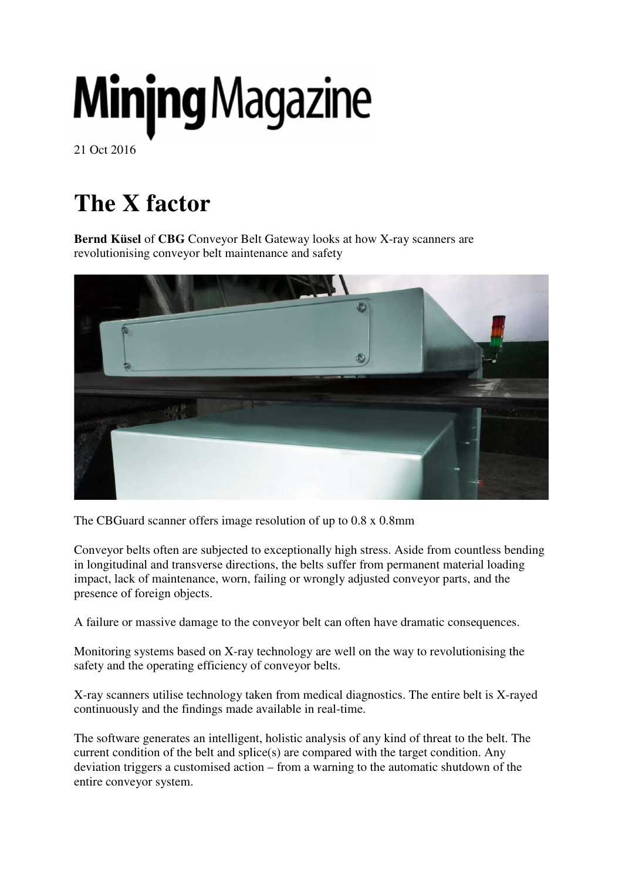# **Minjng Magazine**

21 Oct 2016

# **The X factor**

**Bernd Küsel** of **CBG** Conveyor Belt Gateway looks at how X-ray scanners are revolutionising conveyor belt maintenance and safety



The CBGuard scanner offers image resolution of up to 0.8 x 0.8mm

Conveyor belts often are subjected to exceptionally high stress. Aside from countless bending in longitudinal and transverse directions, the belts suffer from permanent material loading impact, lack of maintenance, worn, failing or wrongly adjusted conveyor parts, and the presence of foreign objects.

A failure or massive damage to the conveyor belt can often have dramatic consequences.

Monitoring systems based on X-ray technology are well on the way to revolutionising the safety and the operating efficiency of conveyor belts.

X-ray scanners utilise technology taken from medical diagnostics. The entire belt is X-rayed continuously and the findings made available in real-time.

The software generates an intelligent, holistic analysis of any kind of threat to the belt. The current condition of the belt and splice(s) are compared with the target condition. Any deviation triggers a customised action – from a warning to the automatic shutdown of the entire conveyor system.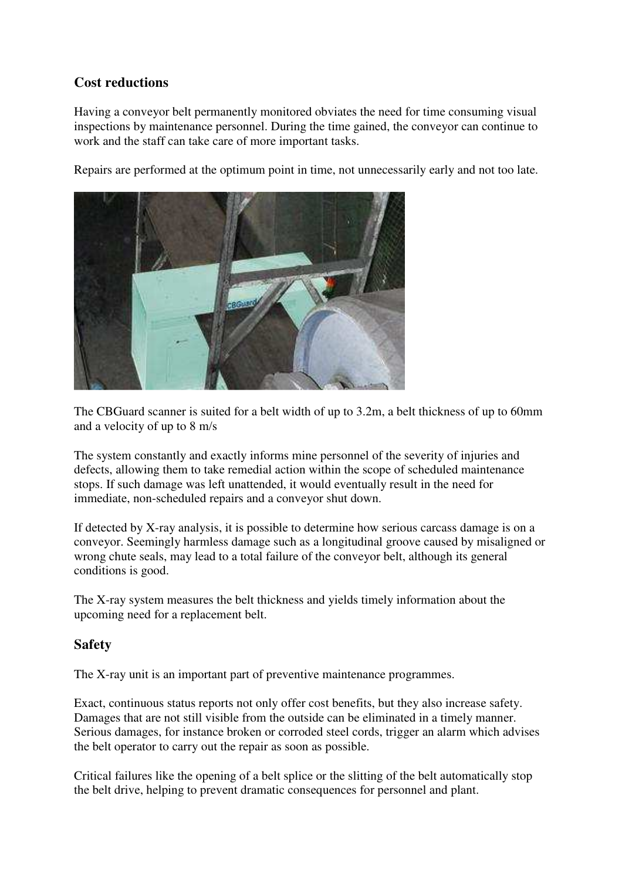### **Cost reductions**

Having a conveyor belt permanently monitored obviates the need for time consuming visual inspections by maintenance personnel. During the time gained, the conveyor can continue to work and the staff can take care of more important tasks.

Repairs are performed at the optimum point in time, not unnecessarily early and not too late.



The CBGuard scanner is suited for a belt width of up to 3.2m, a belt thickness of up to 60mm and a velocity of up to 8 m/s

The system constantly and exactly informs mine personnel of the severity of injuries and defects, allowing them to take remedial action within the scope of scheduled maintenance stops. If such damage was left unattended, it would eventually result in the need for immediate, non-scheduled repairs and a conveyor shut down.

If detected by X-ray analysis, it is possible to determine how serious carcass damage is on a conveyor. Seemingly harmless damage such as a longitudinal groove caused by misaligned or wrong chute seals, may lead to a total failure of the conveyor belt, although its general conditions is good.

The X-ray system measures the belt thickness and yields timely information about the upcoming need for a replacement belt.

#### **Safety**

The X-ray unit is an important part of preventive maintenance programmes.

Exact, continuous status reports not only offer cost benefits, but they also increase safety. Damages that are not still visible from the outside can be eliminated in a timely manner. Serious damages, for instance broken or corroded steel cords, trigger an alarm which advises the belt operator to carry out the repair as soon as possible.

Critical failures like the opening of a belt splice or the slitting of the belt automatically stop the belt drive, helping to prevent dramatic consequences for personnel and plant.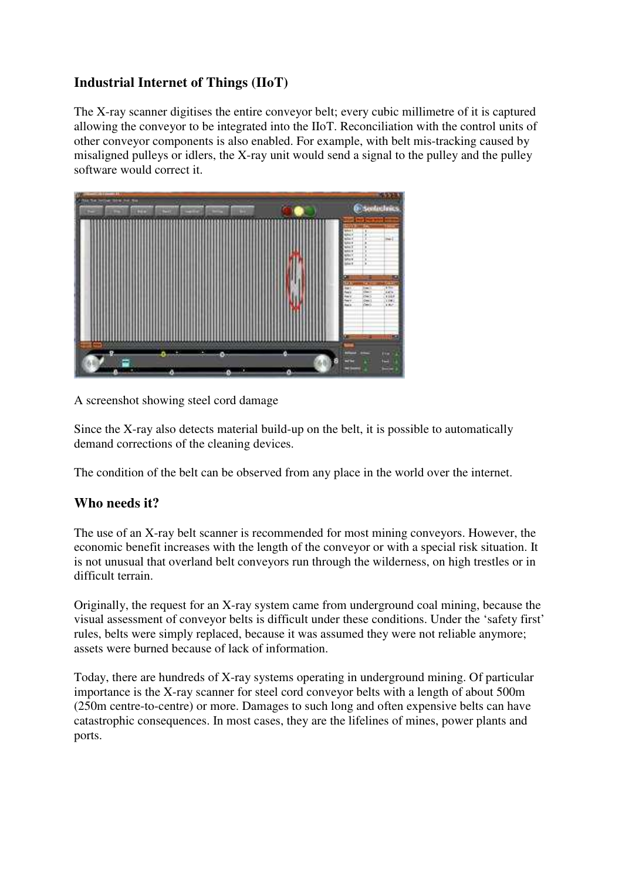# **Industrial Internet of Things (IIoT)**

The X-ray scanner digitises the entire conveyor belt; every cubic millimetre of it is captured allowing the conveyor to be integrated into the IIoT. Reconciliation with the control units of other conveyor components is also enabled. For example, with belt mis-tracking caused by misaligned pulleys or idlers, the X-ray unit would send a signal to the pulley and the pulley software would correct it.



A screenshot showing steel cord damage

Since the X-ray also detects material build-up on the belt, it is possible to automatically demand corrections of the cleaning devices.

The condition of the belt can be observed from any place in the world over the internet.

## **Who needs it?**

The use of an X-ray belt scanner is recommended for most mining conveyors. However, the economic benefit increases with the length of the conveyor or with a special risk situation. It is not unusual that overland belt conveyors run through the wilderness, on high trestles or in difficult terrain.

Originally, the request for an X-ray system came from underground coal mining, because the visual assessment of conveyor belts is difficult under these conditions. Under the 'safety first' rules, belts were simply replaced, because it was assumed they were not reliable anymore; assets were burned because of lack of information.

Today, there are hundreds of X-ray systems operating in underground mining. Of particular importance is the X-ray scanner for steel cord conveyor belts with a length of about 500m (250m centre-to-centre) or more. Damages to such long and often expensive belts can have catastrophic consequences. In most cases, they are the lifelines of mines, power plants and ports.